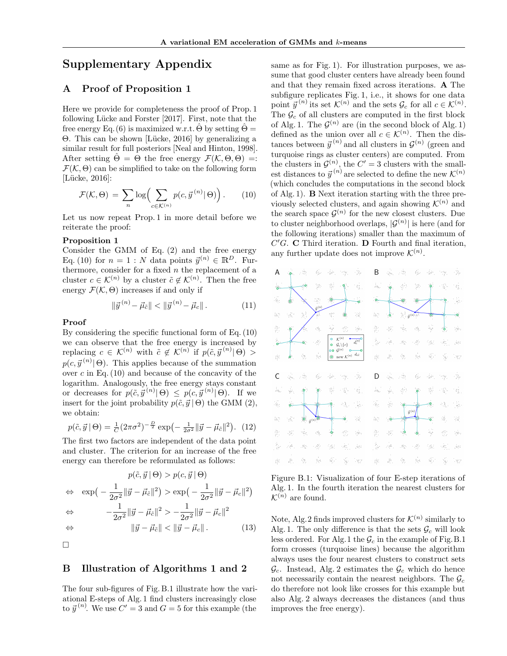# Supplementary Appendix

## A Proof of Proposition 1

Here we provide for completeness the proof of Prop. 1 following Lücke and Forster [\[2017\]](#page--1-0). First, note that the free energy Eq. [\(6\)](#page--1-1) is maximized w.r.t.  $\Theta$  by setting  $\Theta =$ Θ. This can be shown [\[L¨ucke, 2016\]](#page--1-2) by generalizing a similar result for full posteriors [\[Neal and Hinton, 1998\]](#page--1-3). After setting  $\hat{\Theta} = \Theta$  the free energy  $\mathcal{F}(\mathcal{K}, \Theta, \Theta) =:$  $\mathcal{F}(\mathcal{K}, \Theta)$  can be simplified to take on the following form [Lücke, 2016]:

<span id="page-0-0"></span>
$$
\mathcal{F}(\mathcal{K}, \Theta) = \sum_{n} \log \left( \sum_{c \in \mathcal{K}^{(n)}} p(c, \vec{y}^{(n)} | \Theta) \right).
$$
 (10)

Let us now repeat Prop. 1 in more detail before we reiterate the proof:

#### Proposition 1

Consider the GMM of Eq. [\(2\)](#page--1-4) and the free energy Eq. [\(10\)](#page-0-0) for  $n = 1 : N$  data points  $\vec{v}^{(n)} \in \mathbb{R}^D$ . Furthermore, consider for a fixed  $n$  the replacement of a cluster  $c \in \mathcal{K}^{(n)}$  by a cluster  $\tilde{c} \notin \mathcal{K}^{(n)}$ . Then the free energy  $\mathcal{F}(\mathcal{K}, \Theta)$  increases if and only if

$$
\|\vec{y}^{(n)} - \vec{\mu}_{\tilde{c}}\| < \|\vec{y}^{(n)} - \vec{\mu}_c\| \,. \tag{11}
$$

#### Proof

By considering the specific functional form of Eq. [\(10\)](#page-0-0) we can observe that the free energy is increased by replacing  $c \in \mathcal{K}^{(n)}$  with  $\tilde{c} \notin \mathcal{K}^{(n)}$  if  $p(\tilde{c}, \vec{y}^{(n)} | \Theta) >$  $p(c, \vec{y}^{(n)} | \Theta)$ . This applies because of the summation over  $c$  in Eq.  $(10)$  and because of the concavity of the logarithm. Analogously, the free energy stays constant or decreases for  $p(\tilde{c}, \vec{y}^{(n)} | \Theta) \leq p(c, \vec{y}^{(n)} | \Theta)$ . If we insert for the joint probability  $p(\tilde{c}, \vec{y} | \Theta)$  the GMM [\(2\)](#page--1-4), we obtain:

$$
p(\tilde{c}, \vec{y} \mid \Theta) = \frac{1}{C} (2\pi\sigma^2)^{-\frac{D}{2}} \exp\left(-\frac{1}{2\sigma^2} ||\vec{y} - \vec{\mu}_{\tilde{c}}||^2\right). (12)
$$

The first two factors are independent of the data point and cluster. The criterion for an increase of the free energy can therefore be reformulated as follows:

$$
p(\tilde{c}, \vec{y} \mid \Theta) > p(c, \vec{y} \mid \Theta)
$$
  
\n
$$
\Leftrightarrow \exp\left(-\frac{1}{2\sigma^2} \|\vec{y} - \vec{\mu}_{\tilde{c}}\|^2\right) > \exp\left(-\frac{1}{2\sigma^2} \|\vec{y} - \vec{\mu}_{c}\|^2\right)
$$
  
\n
$$
\Leftrightarrow -\frac{1}{2\sigma^2} \|\vec{y} - \vec{\mu}_{\tilde{c}}\|^2 > -\frac{1}{2\sigma^2} \|\vec{y} - \vec{\mu}_{c}\|^2
$$
  
\n
$$
\Leftrightarrow \|\vec{y} - \vec{\mu}_{\tilde{c}}\| < \|\vec{y} - \vec{\mu}_{c}\|.
$$
 (13)

 $\Box$ 

#### B Illustration of Algorithms 1 and 2

The four sub-figures of Fig. [B.1](#page-0-1) illustrate how the variational E-steps of Alg. [1](#page--1-5) find clusters increasingly close to  $\vec{y}^{(n)}$ . We use  $C' = 3$  and  $G = 5$  for this example (the

same as for Fig. [1\)](#page--1-6). For illustration purposes, we assume that good cluster centers have already been found and that they remain fixed across iterations. A The subfigure replicates Fig. [1,](#page--1-6) i.e., it shows for one data point  $\vec{y}^{(n)}$  its set  $\mathcal{K}^{(n)}$  and the sets  $\mathcal{G}_c$  for all  $c \in \mathcal{K}^{(n)}$ . The  $\mathcal{G}_c$  of all clusters are computed in the first block of Alg. [1.](#page--1-5) The  $\mathcal{G}^{(n)}$  are (in the second block of Alg. 1) defined as the union over all  $c \in \mathcal{K}^{(n)}$ . Then the distances between  $\vec{y}^{(n)}$  and all clusters in  $\mathcal{G}^{(n)}$  (green and turquoise rings as cluster centers) are computed. From the clusters in  $\mathcal{G}^{(n)}$ , the  $C' = 3$  clusters with the smallest distances to  $\vec{y}^{(n)}$  are selected to define the new  $\mathcal{K}^{(n)}$ (which concludes the computations in the second block of Alg. 1). B Next iteration starting with the three previously selected clusters, and again showing  $\mathcal{K}^{(n)}$  and the search space  $\mathcal{G}^{(n)}$  for the new closest clusters. Due to cluster neighborhood overlaps,  $|\mathcal{G}^{(n)}|$  is here (and for the following iterations) smaller than the maximum of  $C'$ G. C Third iteration. D Fourth and final iteration, any further update does not improve  $\mathcal{K}^{(n)}$ .

<span id="page-0-1"></span>

Figure B.1: Visualization of four E-step iterations of Alg. [1.](#page--1-5) In the fourth iteration the nearest clusters for  $\mathcal{K}^{(n)}$  are found.

Note, Alg. [2](#page--1-7) finds improved clusters for  $\mathcal{K}^{(n)}$  similarly to Alg. [1.](#page--1-5) The only difference is that the sets  $\mathcal{G}_c$  will look less ordered. For Alg[.1](#page--1-5) the  $\mathcal{G}_c$  in the example of Fig[.B.1](#page-0-1) form crosses (turquoise lines) because the algorithm always uses the four nearest clusters to construct sets  $\mathcal{G}_c$ . Instead, Alg. [2](#page--1-7) estimates the  $\mathcal{G}_c$  which do hence not necessarily contain the nearest neighbors. The  $\mathcal{G}_c$ do therefore not look like crosses for this example but also Alg. [2](#page--1-7) always decreases the distances (and thus improves the free energy).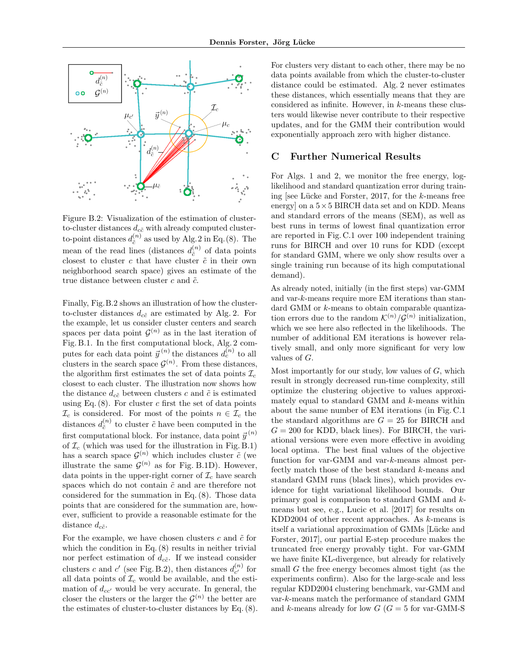<span id="page-1-0"></span>

Figure B.2: Visualization of the estimation of clusterto-cluster distances  $d_{c\tilde{c}}$  with already computed clusterto-point distances  $d_{\tilde{c}}^{(n)}$  $c_i^{(n)}$  as used by Alg. 2 in Eq. [\(8\)](#page--1-8). The mean of the read lines (distances  $d_{\tilde{c}}^{(n)}$ )  $\binom{n}{c}$  of data points closest to cluster  $c$  that have cluster  $\tilde{c}$  in their own neighborhood search space) gives an estimate of the true distance between cluster  $c$  and  $\tilde{c}$ .

Finally, Fig.[B.2](#page-1-0) shows an illustration of how the clusterto-cluster distances  $d_{c\tilde{c}}$  are estimated by Alg. [2.](#page--1-7) For the example, let us consider cluster centers and search spaces per data point  $\mathcal{G}^{(n)}$  as in the last iteration of Fig. [B.1.](#page-0-1) In the first computational block, Alg. [2](#page--1-7) computes for each data point  $\vec{y}^{(n)}$  the distances  $d_c^{(n)}$  to all clusters in the search space  $\mathcal{G}^{(n)}$ . From these distances, the algorithm first estimates the set of data points  $\mathcal{I}_c$ closest to each cluster. The illustration now shows how the distance  $d_{c\tilde{c}}$  between clusters c and  $\tilde{c}$  is estimated using Eq.  $(8)$ . For cluster c first the set of data points  $\mathcal{I}_c$  is considered. For most of the points  $n \in \mathcal{I}_c$  the distances  $d_{\tilde{c}}^{(n)}$  $\tilde{c}^{(n)}$  to cluster  $\tilde{c}$  have been computed in the first computational block. For instance, data point  $\vec{y}^{(n)}$ of  $\mathcal{I}_c$  (which was used for the illustration in Fig. [B.1\)](#page-0-1) has a search space  $\mathcal{G}^{(n)}$  which includes cluster  $\tilde{c}$  (we illustrate the same  $\mathcal{G}^{(n)}$  as for Fig. [B.1D](#page-0-1)). However, data points in the upper-right corner of  $\mathcal{I}_c$  have search spaces which do not contain  $\tilde{c}$  and are therefore not considered for the summation in Eq. [\(8\)](#page--1-8). Those data points that are considered for the summation are, however, sufficient to provide a reasonable estimate for the distance  $d_{c\tilde{c}}$ .

For the example, we have chosen clusters  $c$  and  $\tilde{c}$  for which the condition in Eq.  $(8)$  results in neither trivial nor perfect estimation of  $d_{c\tilde{c}}$ . If we instead consider clusters c and c' (see Fig. [B.2\)](#page-1-0), then distances  $d_{c'}^{(n)}$  $c^{\prime n)}_{c}$  for all data points of  $\mathcal{I}_c$  would be available, and the estimation of  $d_{cc}$  would be very accurate. In general, the closer the clusters or the larger the  $\mathcal{G}^{(n)}$  the better are the estimates of cluster-to-cluster distances by Eq.[\(8\)](#page--1-8). For clusters very distant to each other, there may be no data points available from which the cluster-to-cluster distance could be estimated. Alg. [2](#page--1-7) never estimates these distances, which essentially means that they are considered as infinite. However, in k-means these clusters would likewise never contribute to their respective updates, and for the GMM their contribution would exponentially approach zero with higher distance.

### C Further Numerical Results

For Algs. [1](#page--1-5) and [2,](#page--1-7) we monitor the free energy, loglikelihood and standard quantization error during training [see Lücke and Forster, 2017, for the  $k$ -means free energy] on a  $5\times 5$  BIRCH data set and on KDD. Means and standard errors of the means (SEM), as well as best runs in terms of lowest final quantization error are reported in Fig. [C.1](#page-2-0) over 100 independent training runs for BIRCH and over 10 runs for KDD (except for standard GMM, where we only show results over a single training run because of its high computational demand).

As already noted, initially (in the first steps) var-GMM and var-k-means require more EM iterations than standard GMM or k-means to obtain comparable quantization errors due to the random  $\mathcal{K}^{(n)}/\mathcal{G}^{(n)}$  initialization, which we see here also reflected in the likelihoods. The number of additional EM iterations is however relatively small, and only more significant for very low values of G.

Most importantly for our study, low values of  $G$ , which result in strongly decreased run-time complexity, still optimize the clustering objective to values approximately equal to standard GMM and k-means within about the same number of EM iterations (in Fig. [C.1](#page-2-0) the standard algorithms are  $G = 25$  for BIRCH and  $G = 200$  for KDD, black lines). For BIRCH, the variational versions were even more effective in avoiding local optima. The best final values of the objective function for var-GMM and var-k-means almost perfectly match those of the best standard k-means and standard GMM runs (black lines), which provides evidence for tight variational likelihood bounds. Our primary goal is comparison to standard GMM and kmeans but see, e.g., [Lucic et al.](#page--1-9) [\[2017\]](#page--1-9) for results on KDD2004 of other recent approaches. As k-means is itself a variational approximation of GMMs [Lücke and [Forster, 2017\]](#page--1-0), our partial E-step procedure makes the truncated free energy provably tight. For var-GMM we have finite KL-divergence, but already for relatively small G the free energy becomes almost tight (as the experiments confirm). Also for the large-scale and less regular KDD2004 clustering benchmark, var-GMM and var-k-means match the performance of standard GMM and k-means already for low  $G$  ( $G = 5$  for var-GMM-S)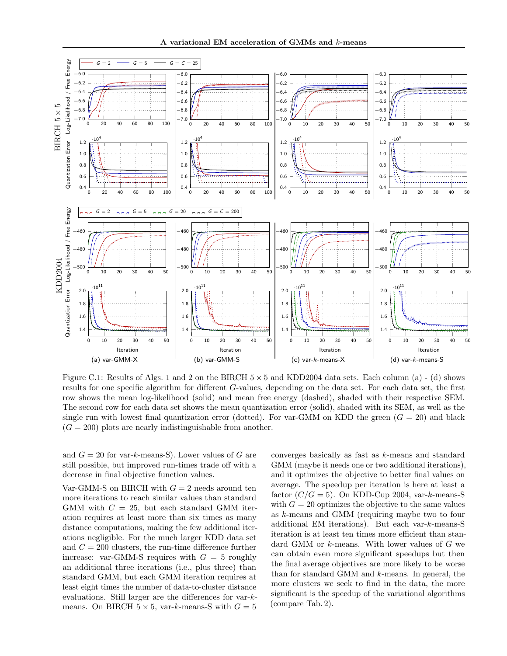<span id="page-2-0"></span>

Figure C.1: Results of Algs. [1](#page--1-5) and [2](#page--1-7) on the BIRCH  $5 \times 5$  and KDD2004 data sets. Each column (a) - (d) shows results for one specific algorithm for different G-values, depending on the data set. For each data set, the first row shows the mean log-likelihood (solid) and mean free energy (dashed), shaded with their respective SEM. The second row for each data set shows the mean quantization error (solid), shaded with its SEM, as well as the single run with lowest final quantization error (dotted). For var-GMM on KDD the green  $(G = 20)$  and black  $(G = 200)$  plots are nearly indistinguishable from another.

and  $G = 20$  for var-k-means-S). Lower values of G are still possible, but improved run-times trade off with a decrease in final objective function values.

Var-GMM-S on BIRCH with  $G = 2$  needs around ten more iterations to reach similar values than standard GMM with  $C = 25$ , but each standard GMM iteration requires at least more than six times as many distance computations, making the few additional iterations negligible. For the much larger KDD data set and  $C = 200$  clusters, the run-time difference further increase: var-GMM-S requires with  $G = 5$  roughly an additional three iterations (i.e., plus three) than standard GMM, but each GMM iteration requires at least eight times the number of data-to-cluster distance evaluations. Still larger are the differences for var-kmeans. On BIRCH  $5 \times 5$ , var-k-means-S with  $G = 5$ 

converges basically as fast as k-means and standard GMM (maybe it needs one or two additional iterations), and it optimizes the objective to better final values on average. The speedup per iteration is here at least a factor  $(C/G = 5)$ . On KDD-Cup 2004, var-k-means-S with  $G = 20$  optimizes the objective to the same values as k-means and GMM (requiring maybe two to four additional EM iterations). But each var-k-means-S iteration is at least ten times more efficient than standard GMM or k-means. With lower values of G we can obtain even more significant speedups but then the final average objectives are more likely to be worse than for standard GMM and k-means. In general, the more clusters we seek to find in the data, the more significant is the speedup of the variational algorithms (compare Tab. [2\)](#page--1-10).